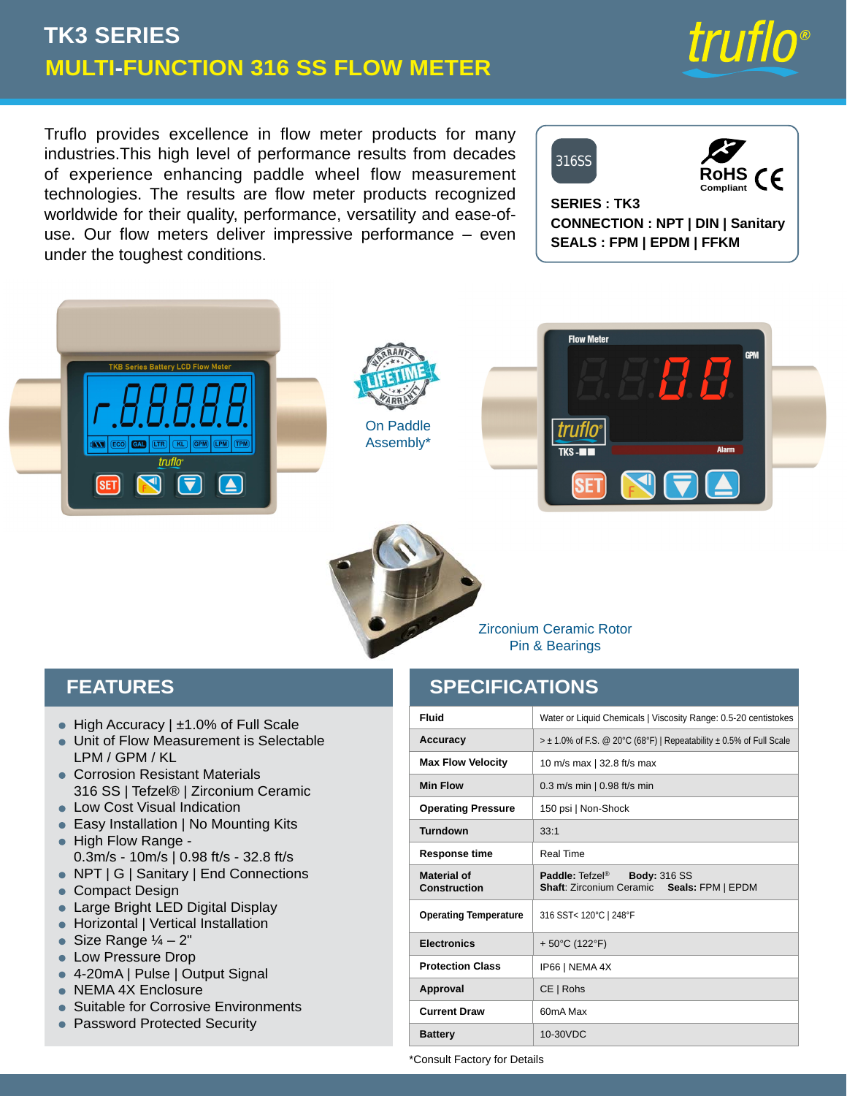# **MULTI-FUNCTION 316 SS FLOW METER TK3 SERIES**

Truflo provides excellence in flow meter products for many industries.This high level of performance results from decades of experience enhancing paddle wheel flow measurement technologies. The results are flow meter products recognized worldwide for their quality, performance, versatility and ease-ofuse. Our flow meters deliver impressive performance – even under the toughest conditions.

# 316SS



*truflo*<sup>®</sup>

**SERIES : TK3 CONNECTION : NPT | DIN | Sanitary SEALS : FPM | EPDM | FFKM**





On Paddle Assembly\*





Zirconium Ceramic Rotor Pin & Bearings

## **FEATURES**

- High Accuracy | ±1.0% of Full Scale
- Unit of Flow Measurement is Selectable LPM / GPM / KL
- Corrosion Resistant Materials 316 SS | Tefzel® | Zirconium Ceramic
- Low Cost Visual Indication
- $\bullet\,$  Easy Installation | No Mounting Kits
- High Flow Range -0.3m/s - 10m/s | 0.98 ft/s - 32.8 ft/s
- NPT | G | Sanitary | End Connections
- Compact Design
- Large Bright LED Digital Display •
- Horizontal | Vertical Installation
- Size Range ¼ 2"
- Low Pressure Drop
- 4-20mA | Pulse | Output Signal
- NEMA 4X Enclosure
- Suitable for Corrosive Environments
- Password Protected Security •

## **SPECIFICATIONS**

| <b>Fluid</b>                       | Water or Liquid Chemicals   Viscosity Range: 0.5-20 centistokes                        |
|------------------------------------|----------------------------------------------------------------------------------------|
| Accuracy                           | $> \pm 1.0\%$ of F.S. @ 20°C (68°F)   Repeatability $\pm 0.5\%$ of Full Scale          |
| <b>Max Flow Velocity</b>           | 10 m/s max   32.8 ft/s max                                                             |
| <b>Min Flow</b>                    | $0.3$ m/s min $\vert 0.98$ ft/s min                                                    |
| <b>Operating Pressure</b>          | 150 psi   Non-Shock                                                                    |
| Turndown                           | 33:1                                                                                   |
| <b>Response time</b>               | Real Time                                                                              |
| Material of<br><b>Construction</b> | Paddle: Tefzel <sup>®</sup> Body: 316 SS<br>Shaft: Zirconium Ceramic Seals: FPM   EPDM |
| <b>Operating Temperature</b>       | 316 SST< 120°C   248°F                                                                 |
| <b>Electronics</b>                 | + 50°C (122°F)                                                                         |
| <b>Protection Class</b>            | IP66   NEMA 4X                                                                         |
| Approval                           | CE   Robs                                                                              |
| <b>Current Draw</b>                | 60mA Max                                                                               |
| <b>Battery</b>                     | 10-30VDC                                                                               |

\*Consult Factory for Details